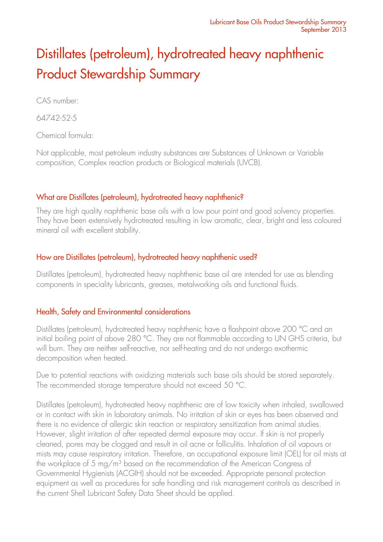# Distillates (petroleum), hydrotreated heavy naphthenic Product Stewardship Summary

CAS number:

64742-52-5

Chemical formula:

Not applicable, most petroleum industry substances are Substances of Unknown or Variable composition, Complex reaction products or Biological materials (UVCB).

# What are Distillates (petroleum), hydrotreated heavy naphthenic?

They are high quality naphthenic base oils with a low pour point and good solvency properties. They have been extensively hydrotreated resulting in low aromatic, clear, bright and less coloured mineral oil with excellent stability.

# How are Distillates (petroleum), hydrotreated heavy naphthenic used?

Distillates (petroleum), hydrotreated heavy naphthenic base oil are intended for use as blending components in speciality lubricants, greases, metalworking oils and functional fluids.

# Health, Safety and Environmental considerations

Distillates (petroleum), hydrotreated heavy naphthenic have a flashpoint above 200 °C and an initial boiling point of above 280 °C. They are not flammable according to UN GHS criteria, but will burn. They are neither self-reactive, nor self-heating and do not undergo exothermic decomposition when heated.

Due to potential reactions with oxidizing materials such base oils should be stored separately. The recommended storage temperature should not exceed 50 °C.

Distillates (petroleum), hydrotreated heavy naphthenic are of low toxicity when inhaled, swallowed or in contact with skin in laboratory animals. No irritation of skin or eyes has been observed and there is no evidence of allergic skin reaction or respiratory sensitization from animal studies. However, slight irritation of after repeated dermal exposure may occur. If skin is not properly cleaned, pores may be clogged and result in oil acne or folliculitis. Inhalation of oil vapours or mists may cause respiratory irritation. Therefore, an occupational exposure limit (OEL) for oil mists at the workplace of 5 mg/m<sup>3</sup> based on the recommendation of the American Congress of Governmental Hygienists (ACGIH) should not be exceeded. Appropriate personal protection equipment as well as procedures for safe handling and risk management controls as described in the current Shell Lubricant Safety Data Sheet should be applied.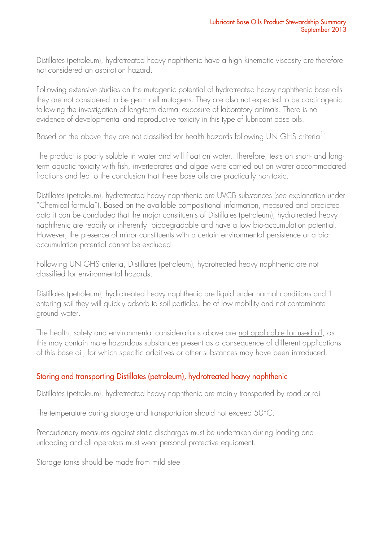Distillates (petroleum), hydrotreated heavy naphthenic have a high kinematic viscosity are therefore not considered an aspiration hazard.

Following extensive studies on the mutagenic potential of hydrotreated heavy naphthenic base oils they are not considered to be germ cell mutagens. They are also not expected to be carcinogenic following the investigation of long-term dermal exposure of laboratory animals. There is no evidence of developmental and reproductive toxicity in this type of lubricant base oils.

Based on the above they are not classified for health hazards following UN GHS criteria<sup>1)</sup>.

The product is poorly soluble in water and will float on water. Therefore, tests on short- and longterm aquatic toxicity with fish, invertebrates and algae were carried out on water accommodated fractions and led to the conclusion that these base oils are practically non-toxic.

Distillates (petroleum), hydrotreated heavy naphthenic are UVCB substances (see explanation under "Chemical formula"). Based on the available compositional information, measured and predicted data it can be concluded that the major constituents of Distillates (petroleum), hydrotreated heavy naphthenic are readily or inherently biodegradable and have a low bio-accumulation potential. However, the presence of minor constituents with a certain environmental persistence or a bioaccumulation potential cannot be excluded.

Following UN GHS criteria, Distillates (petroleum), hydrotreated heavy naphthenic are not classified for environmental hazards.

Distillates (petroleum), hydrotreated heavy naphthenic are liquid under normal conditions and if entering soil they will quickly adsorb to soil particles, be of low mobility and not contaminate ground water.

The health, safety and environmental considerations above are not applicable for used oil, as this may contain more hazardous substances present as a consequence of different applications of this base oil, for which specific additives or other substances may have been introduced.

## Storing and transporting Distillates (petroleum), hydrotreated heavy naphthenic

Distillates (petroleum), hydrotreated heavy naphthenic are mainly transported by road or rail.

The temperature during storage and transportation should not exceed 50°C.

Precautionary measures against static discharges must be undertaken during loading and unloading and all operators must wear personal protective equipment.

Storage tanks should be made from mild steel.